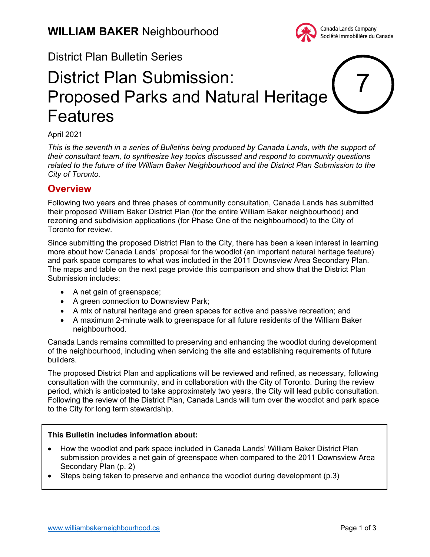

# District Plan Bulletin Series

# District Plan Submission: Proposed Parks and Natural Heritage Features 7

#### April 2021

*This is the seventh in a series of Bulletins being produced by Canada Lands, with the support of their consultant team, to synthesize key topics discussed and respond to community questions related to the future of the William Baker Neighbourhood and the District Plan Submission to the City of Toronto.*

## **Overview**

Following two years and three phases of community consultation, Canada Lands has submitted their proposed William Baker District Plan (for the entire William Baker neighbourhood) and rezoning and subdivision applications (for Phase One of the neighbourhood) to the City of Toronto for review.

Since submitting the proposed District Plan to the City, there has been a keen interest in learning more about how Canada Lands' proposal for the woodlot (an important natural heritage feature) and park space compares to what was included in the 2011 Downsview Area Secondary Plan. The maps and table on the next page provide this comparison and show that the District Plan Submission includes:

- A net gain of greenspace;
- A green connection to Downsview Park;
- A mix of natural heritage and green spaces for active and passive recreation; and
- A maximum 2-minute walk to greenspace for all future residents of the William Baker neighbourhood.

Canada Lands remains committed to preserving and enhancing the woodlot during development of the neighbourhood, including when servicing the site and establishing requirements of future builders.

The proposed District Plan and applications will be reviewed and refined, as necessary, following consultation with the community, and in collaboration with the City of Toronto. During the review period, which is anticipated to take approximately two years, the City will lead public consultation. Following the review of the District Plan, Canada Lands will turn over the woodlot and park space to the City for long term stewardship.

#### **This Bulletin includes information about:**

- How the woodlot and park space included in Canada Lands' William Baker District Plan submission provides a net gain of greenspace when compared to the 2011 Downsview Area Secondary Plan (p. 2)
- Steps being taken to preserve and enhance the woodlot during development (p.3)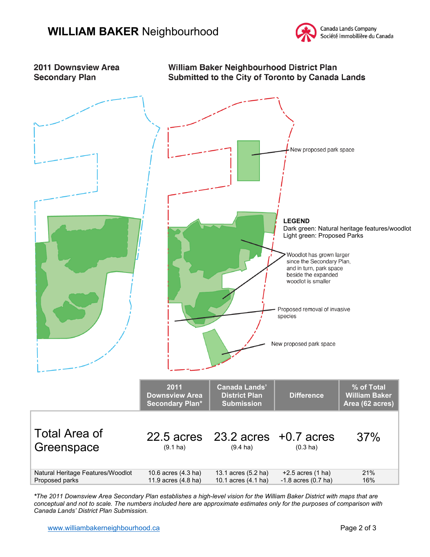



*\*The 2011 Downsview Area Secondary Plan establishes a high-level vision for the William Baker District with maps that are conceptual and not to scale. The numbers included here are approximate estimates only for the purposes of comparison with Canada Lands' District Plan Submission.*